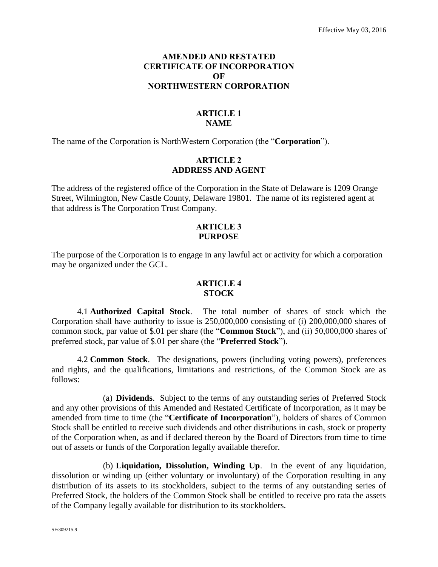# **AMENDED AND RESTATED CERTIFICATE OF INCORPORATION OF NORTHWESTERN CORPORATION**

# **ARTICLE 1 NAME**

The name of the Corporation is NorthWestern Corporation (the "**Corporation**").

#### **ARTICLE 2 ADDRESS AND AGENT**

The address of the registered office of the Corporation in the State of Delaware is 1209 Orange Street, Wilmington, New Castle County, Delaware 19801. The name of its registered agent at that address is The Corporation Trust Company.

#### **ARTICLE 3 PURPOSE**

The purpose of the Corporation is to engage in any lawful act or activity for which a corporation may be organized under the GCL.

## **ARTICLE 4 STOCK**

4.1 **Authorized Capital Stock**. The total number of shares of stock which the Corporation shall have authority to issue is 250,000,000 consisting of (i) 200,000,000 shares of common stock, par value of \$.01 per share (the "**Common Stock**"), and (ii) 50,000,000 shares of preferred stock, par value of \$.01 per share (the "**Preferred Stock**").

4.2 **Common Stock**. The designations, powers (including voting powers), preferences and rights, and the qualifications, limitations and restrictions, of the Common Stock are as follows:

(a) **Dividends**. Subject to the terms of any outstanding series of Preferred Stock and any other provisions of this Amended and Restated Certificate of Incorporation, as it may be amended from time to time (the "**Certificate of Incorporation**"), holders of shares of Common Stock shall be entitled to receive such dividends and other distributions in cash, stock or property of the Corporation when, as and if declared thereon by the Board of Directors from time to time out of assets or funds of the Corporation legally available therefor.

(b) **Liquidation, Dissolution, Winding Up**. In the event of any liquidation, dissolution or winding up (either voluntary or involuntary) of the Corporation resulting in any distribution of its assets to its stockholders, subject to the terms of any outstanding series of Preferred Stock, the holders of the Common Stock shall be entitled to receive pro rata the assets of the Company legally available for distribution to its stockholders.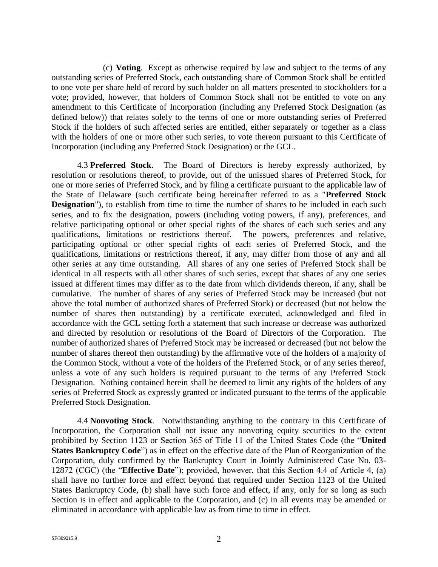(c) **Voting**. Except as otherwise required by law and subject to the terms of any outstanding series of Preferred Stock, each outstanding share of Common Stock shall be entitled to one vote per share held of record by such holder on all matters presented to stockholders for a vote; provided, however, that holders of Common Stock shall not be entitled to vote on any amendment to this Certificate of Incorporation (including any Preferred Stock Designation (as defined below)) that relates solely to the terms of one or more outstanding series of Preferred Stock if the holders of such affected series are entitled, either separately or together as a class with the holders of one or more other such series, to vote thereon pursuant to this Certificate of Incorporation (including any Preferred Stock Designation) or the GCL.

4.3 **Preferred Stock**. The Board of Directors is hereby expressly authorized, by resolution or resolutions thereof, to provide, out of the unissued shares of Preferred Stock, for one or more series of Preferred Stock, and by filing a certificate pursuant to the applicable law of the State of Delaware (such certificate being hereinafter referred to as a "**Preferred Stock Designation**"), to establish from time to time the number of shares to be included in each such series, and to fix the designation, powers (including voting powers, if any), preferences, and relative participating optional or other special rights of the shares of each such series and any qualifications, limitations or restrictions thereof. The powers, preferences and relative, qualifications, limitations or restrictions thereof. participating optional or other special rights of each series of Preferred Stock, and the qualifications, limitations or restrictions thereof, if any, may differ from those of any and all other series at any time outstanding. All shares of any one series of Preferred Stock shall be identical in all respects with all other shares of such series, except that shares of any one series issued at different times may differ as to the date from which dividends thereon, if any, shall be cumulative. The number of shares of any series of Preferred Stock may be increased (but not above the total number of authorized shares of Preferred Stock) or decreased (but not below the number of shares then outstanding) by a certificate executed, acknowledged and filed in accordance with the GCL setting forth a statement that such increase or decrease was authorized and directed by resolution or resolutions of the Board of Directors of the Corporation. The number of authorized shares of Preferred Stock may be increased or decreased (but not below the number of shares thereof then outstanding) by the affirmative vote of the holders of a majority of the Common Stock, without a vote of the holders of the Preferred Stock, or of any series thereof, unless a vote of any such holders is required pursuant to the terms of any Preferred Stock Designation. Nothing contained herein shall be deemed to limit any rights of the holders of any series of Preferred Stock as expressly granted or indicated pursuant to the terms of the applicable Preferred Stock Designation.

4.4 **Nonvoting Stock**. Notwithstanding anything to the contrary in this Certificate of Incorporation, the Corporation shall not issue any nonvoting equity securities to the extent prohibited by Section 1123 or Section 365 of Title 11 of the United States Code (the "**United States Bankruptcy Code**") as in effect on the effective date of the Plan of Reorganization of the Corporation, duly confirmed by the Bankruptcy Court in Jointly Administered Case No. 03- 12872 (CGC) (the "**Effective Date**"); provided, however, that this Section 4.4 of Article 4, (a) shall have no further force and effect beyond that required under Section 1123 of the United States Bankruptcy Code, (b) shall have such force and effect, if any, only for so long as such Section is in effect and applicable to the Corporation, and (c) in all events may be amended or eliminated in accordance with applicable law as from time to time in effect.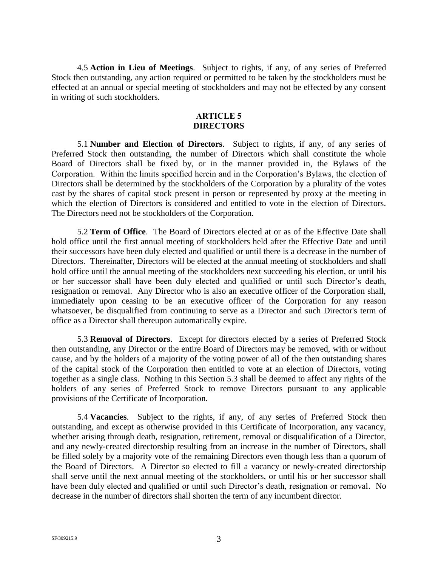4.5 **Action in Lieu of Meetings**. Subject to rights, if any, of any series of Preferred Stock then outstanding, any action required or permitted to be taken by the stockholders must be effected at an annual or special meeting of stockholders and may not be effected by any consent in writing of such stockholders.

## **ARTICLE 5 DIRECTORS**

5.1 **Number and Election of Directors**. Subject to rights, if any, of any series of Preferred Stock then outstanding, the number of Directors which shall constitute the whole Board of Directors shall be fixed by, or in the manner provided in, the Bylaws of the Corporation. Within the limits specified herein and in the Corporation's Bylaws, the election of Directors shall be determined by the stockholders of the Corporation by a plurality of the votes cast by the shares of capital stock present in person or represented by proxy at the meeting in which the election of Directors is considered and entitled to vote in the election of Directors. The Directors need not be stockholders of the Corporation.

5.2 **Term of Office**. The Board of Directors elected at or as of the Effective Date shall hold office until the first annual meeting of stockholders held after the Effective Date and until their successors have been duly elected and qualified or until there is a decrease in the number of Directors. Thereinafter, Directors will be elected at the annual meeting of stockholders and shall hold office until the annual meeting of the stockholders next succeeding his election, or until his or her successor shall have been duly elected and qualified or until such Director's death, resignation or removal. Any Director who is also an executive officer of the Corporation shall, immediately upon ceasing to be an executive officer of the Corporation for any reason whatsoever, be disqualified from continuing to serve as a Director and such Director's term of office as a Director shall thereupon automatically expire.

5.3 **Removal of Directors**. Except for directors elected by a series of Preferred Stock then outstanding, any Director or the entire Board of Directors may be removed, with or without cause, and by the holders of a majority of the voting power of all of the then outstanding shares of the capital stock of the Corporation then entitled to vote at an election of Directors, voting together as a single class. Nothing in this Section 5.3 shall be deemed to affect any rights of the holders of any series of Preferred Stock to remove Directors pursuant to any applicable provisions of the Certificate of Incorporation.

5.4 **Vacancies**. Subject to the rights, if any, of any series of Preferred Stock then outstanding, and except as otherwise provided in this Certificate of Incorporation, any vacancy, whether arising through death, resignation, retirement, removal or disqualification of a Director, and any newly-created directorship resulting from an increase in the number of Directors, shall be filled solely by a majority vote of the remaining Directors even though less than a quorum of the Board of Directors. A Director so elected to fill a vacancy or newly-created directorship shall serve until the next annual meeting of the stockholders, or until his or her successor shall have been duly elected and qualified or until such Director's death, resignation or removal. No decrease in the number of directors shall shorten the term of any incumbent director.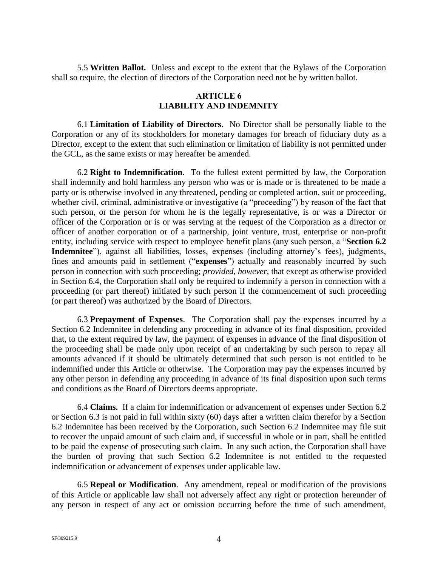5.5 **Written Ballot.** Unless and except to the extent that the Bylaws of the Corporation shall so require, the election of directors of the Corporation need not be by written ballot.

# **ARTICLE 6 LIABILITY AND INDEMNITY**

6.1 **Limitation of Liability of Directors**. No Director shall be personally liable to the Corporation or any of its stockholders for monetary damages for breach of fiduciary duty as a Director, except to the extent that such elimination or limitation of liability is not permitted under the GCL, as the same exists or may hereafter be amended.

6.2 **Right to Indemnification**. To the fullest extent permitted by law, the Corporation shall indemnify and hold harmless any person who was or is made or is threatened to be made a party or is otherwise involved in any threatened, pending or completed action, suit or proceeding, whether civil, criminal, administrative or investigative (a "proceeding") by reason of the fact that such person, or the person for whom he is the legally representative, is or was a Director or officer of the Corporation or is or was serving at the request of the Corporation as a director or officer of another corporation or of a partnership, joint venture, trust, enterprise or non-profit entity, including service with respect to employee benefit plans (any such person, a "**Section 6.2 Indemnitee**"), against all liabilities, losses, expenses (including attorney's fees), judgments, fines and amounts paid in settlement ("**expenses**") actually and reasonably incurred by such person in connection with such proceeding; *provided, however*, that except as otherwise provided in Section 6.4, the Corporation shall only be required to indemnify a person in connection with a proceeding (or part thereof) initiated by such person if the commencement of such proceeding (or part thereof) was authorized by the Board of Directors.

6.3 **Prepayment of Expenses**. The Corporation shall pay the expenses incurred by a Section 6.2 Indemnitee in defending any proceeding in advance of its final disposition, provided that, to the extent required by law, the payment of expenses in advance of the final disposition of the proceeding shall be made only upon receipt of an undertaking by such person to repay all amounts advanced if it should be ultimately determined that such person is not entitled to be indemnified under this Article or otherwise. The Corporation may pay the expenses incurred by any other person in defending any proceeding in advance of its final disposition upon such terms and conditions as the Board of Directors deems appropriate.

6.4 **Claims.** If a claim for indemnification or advancement of expenses under Section 6.2 or Section 6.3 is not paid in full within sixty (60) days after a written claim therefor by a Section 6.2 Indemnitee has been received by the Corporation, such Section 6.2 Indemnitee may file suit to recover the unpaid amount of such claim and, if successful in whole or in part, shall be entitled to be paid the expense of prosecuting such claim. In any such action, the Corporation shall have the burden of proving that such Section 6.2 Indemnitee is not entitled to the requested indemnification or advancement of expenses under applicable law.

6.5 **Repeal or Modification**. Any amendment, repeal or modification of the provisions of this Article or applicable law shall not adversely affect any right or protection hereunder of any person in respect of any act or omission occurring before the time of such amendment,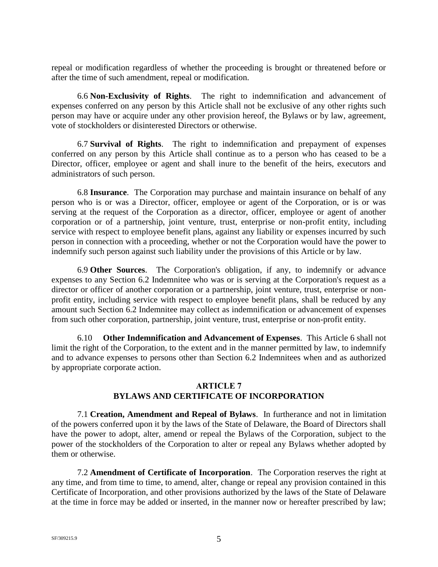repeal or modification regardless of whether the proceeding is brought or threatened before or after the time of such amendment, repeal or modification.

6.6 **Non-Exclusivity of Rights**. The right to indemnification and advancement of expenses conferred on any person by this Article shall not be exclusive of any other rights such person may have or acquire under any other provision hereof, the Bylaws or by law, agreement, vote of stockholders or disinterested Directors or otherwise.

6.7 **Survival of Rights**. The right to indemnification and prepayment of expenses conferred on any person by this Article shall continue as to a person who has ceased to be a Director, officer, employee or agent and shall inure to the benefit of the heirs, executors and administrators of such person.

6.8 **Insurance**. The Corporation may purchase and maintain insurance on behalf of any person who is or was a Director, officer, employee or agent of the Corporation, or is or was serving at the request of the Corporation as a director, officer, employee or agent of another corporation or of a partnership, joint venture, trust, enterprise or non-profit entity, including service with respect to employee benefit plans, against any liability or expenses incurred by such person in connection with a proceeding, whether or not the Corporation would have the power to indemnify such person against such liability under the provisions of this Article or by law.

6.9 **Other Sources**. The Corporation's obligation, if any, to indemnify or advance expenses to any Section 6.2 Indemnitee who was or is serving at the Corporation's request as a director or officer of another corporation or a partnership, joint venture, trust, enterprise or nonprofit entity, including service with respect to employee benefit plans, shall be reduced by any amount such Section 6.2 Indemnitee may collect as indemnification or advancement of expenses from such other corporation, partnership, joint venture, trust, enterprise or non-profit entity.

6.10 **Other Indemnification and Advancement of Expenses**. This Article 6 shall not limit the right of the Corporation, to the extent and in the manner permitted by law, to indemnify and to advance expenses to persons other than Section 6.2 Indemnitees when and as authorized by appropriate corporate action.

# **ARTICLE 7 BYLAWS AND CERTIFICATE OF INCORPORATION**

7.1 **Creation, Amendment and Repeal of Bylaws**. In furtherance and not in limitation of the powers conferred upon it by the laws of the State of Delaware, the Board of Directors shall have the power to adopt, alter, amend or repeal the Bylaws of the Corporation, subject to the power of the stockholders of the Corporation to alter or repeal any Bylaws whether adopted by them or otherwise.

7.2 **Amendment of Certificate of Incorporation**. The Corporation reserves the right at any time, and from time to time, to amend, alter, change or repeal any provision contained in this Certificate of Incorporation, and other provisions authorized by the laws of the State of Delaware at the time in force may be added or inserted, in the manner now or hereafter prescribed by law;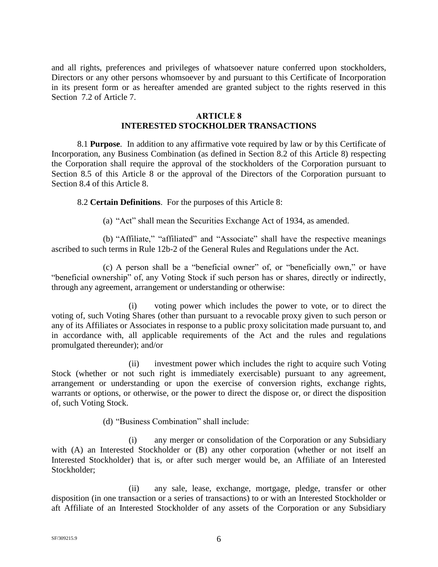and all rights, preferences and privileges of whatsoever nature conferred upon stockholders, Directors or any other persons whomsoever by and pursuant to this Certificate of Incorporation in its present form or as hereafter amended are granted subject to the rights reserved in this Section 7.2 of Article 7.

#### **ARTICLE 8 INTERESTED STOCKHOLDER TRANSACTIONS**

8.1 **Purpose**. In addition to any affirmative vote required by law or by this Certificate of Incorporation, any Business Combination (as defined in Section 8.2 of this Article 8) respecting the Corporation shall require the approval of the stockholders of the Corporation pursuant to Section 8.5 of this Article 8 or the approval of the Directors of the Corporation pursuant to Section 8.4 of this Article 8.

8.2 **Certain Definitions**. For the purposes of this Article 8:

(a) "Act" shall mean the Securities Exchange Act of 1934, as amended.

(b) "Affiliate," "affiliated" and "Associate" shall have the respective meanings ascribed to such terms in Rule 12b-2 of the General Rules and Regulations under the Act.

(c) A person shall be a "beneficial owner" of, or "beneficially own," or have "beneficial ownership" of, any Voting Stock if such person has or shares, directly or indirectly, through any agreement, arrangement or understanding or otherwise:

(i) voting power which includes the power to vote, or to direct the voting of, such Voting Shares (other than pursuant to a revocable proxy given to such person or any of its Affiliates or Associates in response to a public proxy solicitation made pursuant to, and in accordance with, all applicable requirements of the Act and the rules and regulations promulgated thereunder); and/or

(ii) investment power which includes the right to acquire such Voting Stock (whether or not such right is immediately exercisable) pursuant to any agreement, arrangement or understanding or upon the exercise of conversion rights, exchange rights, warrants or options, or otherwise, or the power to direct the dispose or, or direct the disposition of, such Voting Stock.

(d) "Business Combination" shall include:

(i) any merger or consolidation of the Corporation or any Subsidiary with (A) an Interested Stockholder or (B) any other corporation (whether or not itself an Interested Stockholder) that is, or after such merger would be, an Affiliate of an Interested Stockholder;

(ii) any sale, lease, exchange, mortgage, pledge, transfer or other disposition (in one transaction or a series of transactions) to or with an Interested Stockholder or aft Affiliate of an Interested Stockholder of any assets of the Corporation or any Subsidiary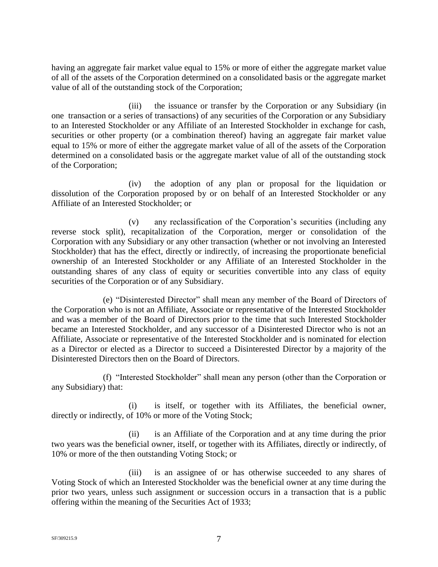having an aggregate fair market value equal to 15% or more of either the aggregate market value of all of the assets of the Corporation determined on a consolidated basis or the aggregate market value of all of the outstanding stock of the Corporation;

(iii) the issuance or transfer by the Corporation or any Subsidiary (in one transaction or a series of transactions) of any securities of the Corporation or any Subsidiary to an Interested Stockholder or any Affiliate of an Interested Stockholder in exchange for cash, securities or other property (or a combination thereof) having an aggregate fair market value equal to 15% or more of either the aggregate market value of all of the assets of the Corporation determined on a consolidated basis or the aggregate market value of all of the outstanding stock of the Corporation;

(iv) the adoption of any plan or proposal for the liquidation or dissolution of the Corporation proposed by or on behalf of an Interested Stockholder or any Affiliate of an Interested Stockholder; or

(v) any reclassification of the Corporation's securities (including any reverse stock split), recapitalization of the Corporation, merger or consolidation of the Corporation with any Subsidiary or any other transaction (whether or not involving an Interested Stockholder) that has the effect, directly or indirectly, of increasing the proportionate beneficial ownership of an Interested Stockholder or any Affiliate of an Interested Stockholder in the outstanding shares of any class of equity or securities convertible into any class of equity securities of the Corporation or of any Subsidiary.

(e) "Disinterested Director" shall mean any member of the Board of Directors of the Corporation who is not an Affiliate, Associate or representative of the Interested Stockholder and was a member of the Board of Directors prior to the time that such Interested Stockholder became an Interested Stockholder, and any successor of a Disinterested Director who is not an Affiliate, Associate or representative of the Interested Stockholder and is nominated for election as a Director or elected as a Director to succeed a Disinterested Director by a majority of the Disinterested Directors then on the Board of Directors.

(f) "Interested Stockholder" shall mean any person (other than the Corporation or any Subsidiary) that:

(i) is itself, or together with its Affiliates, the beneficial owner, directly or indirectly, of 10% or more of the Voting Stock;

(ii) is an Affiliate of the Corporation and at any time during the prior two years was the beneficial owner, itself, or together with its Affiliates, directly or indirectly, of 10% or more of the then outstanding Voting Stock; or

(iii) is an assignee of or has otherwise succeeded to any shares of Voting Stock of which an Interested Stockholder was the beneficial owner at any time during the prior two years, unless such assignment or succession occurs in a transaction that is a public offering within the meaning of the Securities Act of 1933;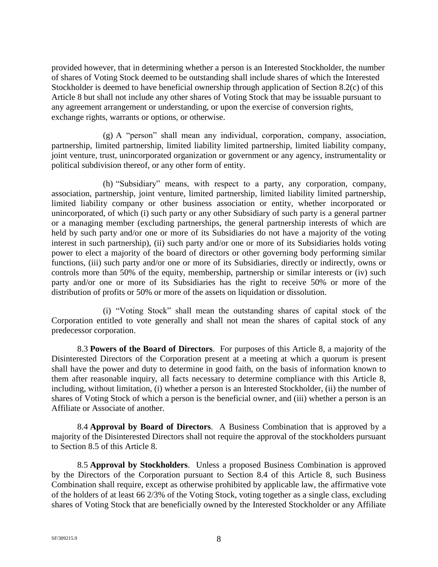provided however, that in determining whether a person is an Interested Stockholder, the number of shares of Voting Stock deemed to be outstanding shall include shares of which the Interested Stockholder is deemed to have beneficial ownership through application of Section 8.2(c) of this Article 8 but shall not include any other shares of Voting Stock that may be issuable pursuant to any agreement arrangement or understanding, or upon the exercise of conversion rights, exchange rights, warrants or options, or otherwise.

(g) A "person" shall mean any individual, corporation, company, association, partnership, limited partnership, limited liability limited partnership, limited liability company, joint venture, trust, unincorporated organization or government or any agency, instrumentality or political subdivision thereof, or any other form of entity.

(h) "Subsidiary" means, with respect to a party, any corporation, company, association, partnership, joint venture, limited partnership, limited liability limited partnership, limited liability company or other business association or entity, whether incorporated or unincorporated, of which (i) such party or any other Subsidiary of such party is a general partner or a managing member (excluding partnerships, the general partnership interests of which are held by such party and/or one or more of its Subsidiaries do not have a majority of the voting interest in such partnership), (ii) such party and/or one or more of its Subsidiaries holds voting power to elect a majority of the board of directors or other governing body performing similar functions, (iii) such party and/or one or more of its Subsidiaries, directly or indirectly, owns or controls more than 50% of the equity, membership, partnership or similar interests or (iv) such party and/or one or more of its Subsidiaries has the right to receive 50% or more of the distribution of profits or 50% or more of the assets on liquidation or dissolution.

(i) "Voting Stock" shall mean the outstanding shares of capital stock of the Corporation entitled to vote generally and shall not mean the shares of capital stock of any predecessor corporation.

8.3 **Powers of the Board of Directors**. For purposes of this Article 8, a majority of the Disinterested Directors of the Corporation present at a meeting at which a quorum is present shall have the power and duty to determine in good faith, on the basis of information known to them after reasonable inquiry, all facts necessary to determine compliance with this Article 8, including, without limitation, (i) whether a person is an Interested Stockholder, (ii) the number of shares of Voting Stock of which a person is the beneficial owner, and (iii) whether a person is an Affiliate or Associate of another.

8.4 **Approval by Board of Directors**. A Business Combination that is approved by a majority of the Disinterested Directors shall not require the approval of the stockholders pursuant to Section 8.5 of this Article 8.

8.5 **Approval by Stockholders**. Unless a proposed Business Combination is approved by the Directors of the Corporation pursuant to Section 8.4 of this Article 8, such Business Combination shall require, except as otherwise prohibited by applicable law, the affirmative vote of the holders of at least 66 2/3% of the Voting Stock, voting together as a single class, excluding shares of Voting Stock that are beneficially owned by the Interested Stockholder or any Affiliate